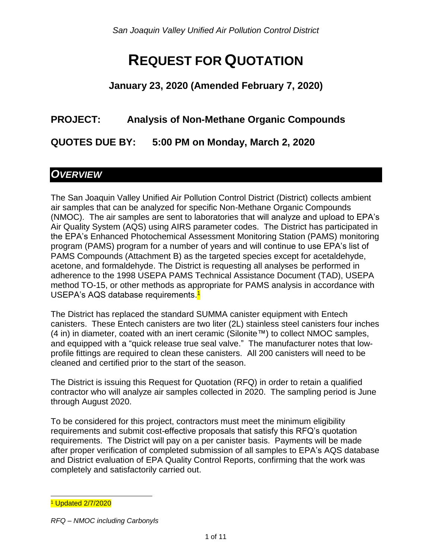# **REQUEST FOR QUOTATION**

#### **January 23, 2020 (Amended February 7, 2020)**

#### **PROJECT: Analysis of Non-Methane Organic Compounds**

**QUOTES DUE BY: 5:00 PM on Monday, March 2, 2020**

## *OVERVIEW*

The San Joaquin Valley Unified Air Pollution Control District (District) collects ambient air samples that can be analyzed for specific Non-Methane Organic Compounds (NMOC). The air samples are sent to laboratories that will analyze and upload to EPA's Air Quality System (AQS) using AIRS parameter codes. The District has participated in the EPA's Enhanced Photochemical Assessment Monitoring Station (PAMS) monitoring program (PAMS) program for a number of years and will continue to use EPA's list of PAMS Compounds (Attachment B) as the targeted species except for acetaldehyde, acetone, and formaldehyde. The District is requesting all analyses be performed in adherence to the 1998 USEPA PAMS Technical Assistance Document (TAD), USEPA method TO-15, or other methods as appropriate for PAMS analysis in accordance with USEPA's AQS database requirements.<mark>1</mark>

The District has replaced the standard SUMMA canister equipment with Entech canisters. These Entech canisters are two liter (2L) stainless steel canisters four inches (4 in) in diameter, coated with an inert ceramic (Silonite™) to collect NMOC samples, and equipped with a "quick release true seal valve." The manufacturer notes that lowprofile fittings are required to clean these canisters. All 200 canisters will need to be cleaned and certified prior to the start of the season.

The District is issuing this Request for Quotation (RFQ) in order to retain a qualified contractor who will analyze air samples collected in 2020. The sampling period is June through August 2020.

To be considered for this project, contractors must meet the minimum eligibility requirements and submit cost-effective proposals that satisfy this RFQ's quotation requirements. The District will pay on a per canister basis. Payments will be made after proper verification of completed submission of all samples to EPA's AQS database and District evaluation of EPA Quality Control Reports, confirming that the work was completely and satisfactorily carried out.

l <sup>1</sup> Updated 2/7/2020

*RFQ – NMOC including Carbonyls*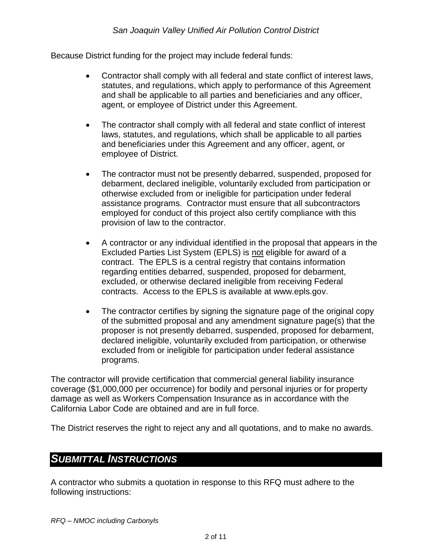Because District funding for the project may include federal funds:

- Contractor shall comply with all federal and state conflict of interest laws, statutes, and regulations, which apply to performance of this Agreement and shall be applicable to all parties and beneficiaries and any officer, agent, or employee of District under this Agreement.
- The contractor shall comply with all federal and state conflict of interest laws, statutes, and regulations, which shall be applicable to all parties and beneficiaries under this Agreement and any officer, agent, or employee of District.
- The contractor must not be presently debarred, suspended, proposed for debarment, declared ineligible, voluntarily excluded from participation or otherwise excluded from or ineligible for participation under federal assistance programs. Contractor must ensure that all subcontractors employed for conduct of this project also certify compliance with this provision of law to the contractor.
- A contractor or any individual identified in the proposal that appears in the Excluded Parties List System (EPLS) is not eligible for award of a contract. The EPLS is a central registry that contains information regarding entities debarred, suspended, proposed for debarment, excluded, or otherwise declared ineligible from receiving Federal contracts. Access to the EPLS is available at www.epls.gov.
- The contractor certifies by signing the signature page of the original copy of the submitted proposal and any amendment signature page(s) that the proposer is not presently debarred, suspended, proposed for debarment, declared ineligible, voluntarily excluded from participation, or otherwise excluded from or ineligible for participation under federal assistance programs.

The contractor will provide certification that commercial general liability insurance coverage (\$1,000,000 per occurrence) for bodily and personal injuries or for property damage as well as Workers Compensation Insurance as in accordance with the California Labor Code are obtained and are in full force.

The District reserves the right to reject any and all quotations, and to make no awards.

#### *SUBMITTAL INSTRUCTIONS*

A contractor who submits a quotation in response to this RFQ must adhere to the following instructions: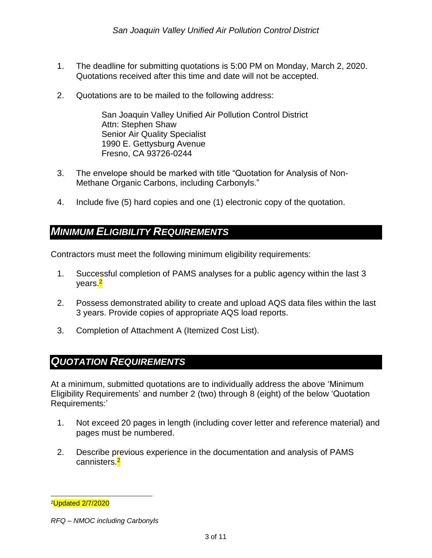- 1. The deadline for submitting quotations is 5:00 PM on Monday, March 2, 2020. Quotations received after this time and date will not be accepted.
- 2. Quotations are to be mailed to the following address:

San Joaquin Valley Unified Air Pollution Control District Attn: Stephen Shaw Senior Air Quality Specialist 1990 E. Gettysburg Avenue Fresno, CA 93726-0244

- 3. The envelope should be marked with title "Quotation for Analysis of Non-Methane Organic Carbons, including Carbonyls."
- 4. Include five (5) hard copies and one (1) electronic copy of the quotation.

#### *MINIMUM ELIGIBILITY REQUIREMENTS*

Contractors must meet the following minimum eligibility requirements:

- 1. Successful completion of PAMS analyses for a public agency within the last 3 years.<mark><sup>2</sup></mark>
- 2. Possess demonstrated ability to create and upload AQS data files within the last 3 years. Provide copies of appropriate AQS load reports.
- 3. Completion of Attachment A (Itemized Cost List).

# *QUOTATION REQUIREMENTS*

At a minimum, submitted quotations are to individually address the above 'Minimum Eligibility Requirements' and number 2 (two) through 8 (eight) of the below 'Quotation Requirements:'

- 1. Not exceed 20 pages in length (including cover letter and reference material) and pages must be numbered.
- 2. Describe previous experience in the documentation and analysis of PAMS cannisters.<mark><sup>2</sup></mark>

l <sup>2</sup>Updated 2/7/2020

*RFQ – NMOC including Carbonyls*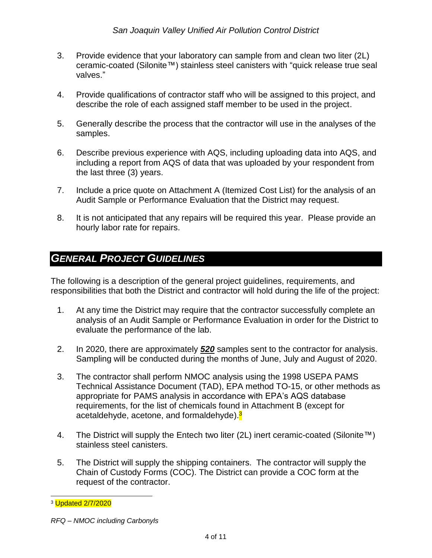- 3. Provide evidence that your laboratory can sample from and clean two liter (2L) ceramic-coated (Silonite™) stainless steel canisters with "quick release true seal valves."
- 4. Provide qualifications of contractor staff who will be assigned to this project, and describe the role of each assigned staff member to be used in the project.
- 5. Generally describe the process that the contractor will use in the analyses of the samples.
- 6. Describe previous experience with AQS, including uploading data into AQS, and including a report from AQS of data that was uploaded by your respondent from the last three (3) years.
- 7. Include a price quote on Attachment A (Itemized Cost List) for the analysis of an Audit Sample or Performance Evaluation that the District may request.
- 8. It is not anticipated that any repairs will be required this year. Please provide an hourly labor rate for repairs.

## *GENERAL PROJECT GUIDELINES*

The following is a description of the general project guidelines, requirements, and responsibilities that both the District and contractor will hold during the life of the project:

- 1. At any time the District may require that the contractor successfully complete an analysis of an Audit Sample or Performance Evaluation in order for the District to evaluate the performance of the lab.
- 2. In 2020, there are approximately *520* samples sent to the contractor for analysis. Sampling will be conducted during the months of June, July and August of 2020.
- 3. The contractor shall perform NMOC analysis using the 1998 USEPA PAMS Technical Assistance Document (TAD), EPA method TO-15, or other methods as appropriate for PAMS analysis in accordance with EPA's AQS database requirements, for the list of chemicals found in Attachment B (except for acetaldehyde, acetone, and formaldehyde).<sup>3</sup>
- 4. The District will supply the Entech two liter (2L) inert ceramic-coated (Silonite™) stainless steel canisters.
- 5. The District will supply the shipping containers. The contractor will supply the Chain of Custody Forms (COC). The District can provide a COC form at the request of the contractor.

l <sup>3</sup> Updated 2/7/2020

*RFQ – NMOC including Carbonyls*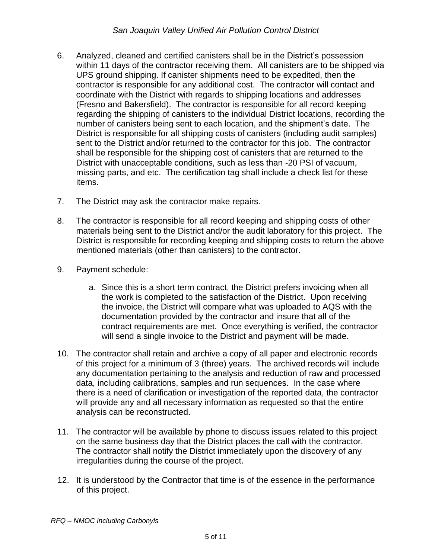- 6. Analyzed, cleaned and certified canisters shall be in the District's possession within 11 days of the contractor receiving them. All canisters are to be shipped via UPS ground shipping. If canister shipments need to be expedited, then the contractor is responsible for any additional cost. The contractor will contact and coordinate with the District with regards to shipping locations and addresses (Fresno and Bakersfield). The contractor is responsible for all record keeping regarding the shipping of canisters to the individual District locations, recording the number of canisters being sent to each location, and the shipment's date. The District is responsible for all shipping costs of canisters (including audit samples) sent to the District and/or returned to the contractor for this job. The contractor shall be responsible for the shipping cost of canisters that are returned to the District with unacceptable conditions, such as less than -20 PSI of vacuum, missing parts, and etc. The certification tag shall include a check list for these items.
- 7. The District may ask the contractor make repairs.
- 8. The contractor is responsible for all record keeping and shipping costs of other materials being sent to the District and/or the audit laboratory for this project. The District is responsible for recording keeping and shipping costs to return the above mentioned materials (other than canisters) to the contractor.
- 9. Payment schedule:
	- a. Since this is a short term contract, the District prefers invoicing when all the work is completed to the satisfaction of the District. Upon receiving the invoice, the District will compare what was uploaded to AQS with the documentation provided by the contractor and insure that all of the contract requirements are met. Once everything is verified, the contractor will send a single invoice to the District and payment will be made.
- 10. The contractor shall retain and archive a copy of all paper and electronic records of this project for a minimum of 3 (three) years. The archived records will include any documentation pertaining to the analysis and reduction of raw and processed data, including calibrations, samples and run sequences. In the case where there is a need of clarification or investigation of the reported data, the contractor will provide any and all necessary information as requested so that the entire analysis can be reconstructed.
- 11. The contractor will be available by phone to discuss issues related to this project on the same business day that the District places the call with the contractor. The contractor shall notify the District immediately upon the discovery of any irregularities during the course of the project.
- 12. It is understood by the Contractor that time is of the essence in the performance of this project.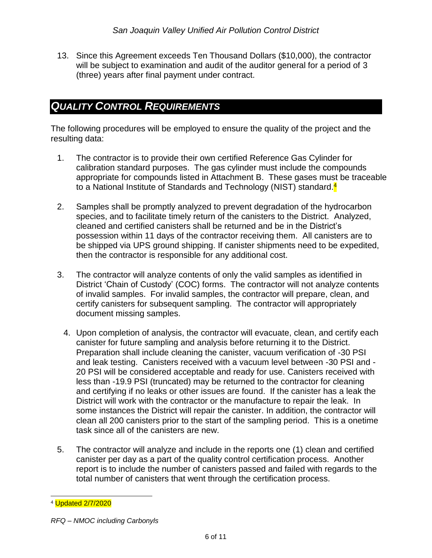13. Since this Agreement exceeds Ten Thousand Dollars (\$10,000), the contractor will be subject to examination and audit of the auditor general for a period of 3 (three) years after final payment under contract.

#### *QUALITY CONTROL REQUIREMENTS*

The following procedures will be employed to ensure the quality of the project and the resulting data:

- 1. The contractor is to provide their own certified Reference Gas Cylinder for calibration standard purposes. The gas cylinder must include the compounds appropriate for compounds listed in Attachment B. These gases must be traceable to a National Institute of Standards and Technology (NIST) standard.<sup>4</sup>
- 2. Samples shall be promptly analyzed to prevent degradation of the hydrocarbon species, and to facilitate timely return of the canisters to the District. Analyzed, cleaned and certified canisters shall be returned and be in the District's possession within 11 days of the contractor receiving them. All canisters are to be shipped via UPS ground shipping. If canister shipments need to be expedited, then the contractor is responsible for any additional cost.
- 3. The contractor will analyze contents of only the valid samples as identified in District 'Chain of Custody' (COC) forms. The contractor will not analyze contents of invalid samples. For invalid samples, the contractor will prepare, clean, and certify canisters for subsequent sampling. The contractor will appropriately document missing samples.
	- 4. Upon completion of analysis, the contractor will evacuate, clean, and certify each canister for future sampling and analysis before returning it to the District. Preparation shall include cleaning the canister, vacuum verification of -30 PSI and leak testing. Canisters received with a vacuum level between -30 PSI and - 20 PSI will be considered acceptable and ready for use. Canisters received with less than -19.9 PSI (truncated) may be returned to the contractor for cleaning and certifying if no leaks or other issues are found. If the canister has a leak the District will work with the contractor or the manufacture to repair the leak. In some instances the District will repair the canister. In addition, the contractor will clean all 200 canisters prior to the start of the sampling period. This is a onetime task since all of the canisters are new.
- 5. The contractor will analyze and include in the reports one (1) clean and certified canister per day as a part of the quality control certification process. Another report is to include the number of canisters passed and failed with regards to the total number of canisters that went through the certification process.

l <sup>4</sup> Updated 2/7/2020

*RFQ – NMOC including Carbonyls*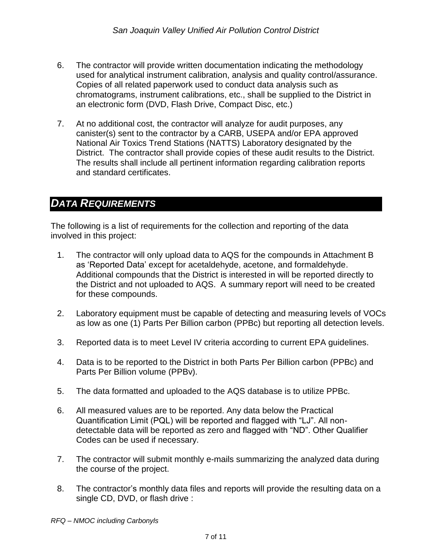- 6. The contractor will provide written documentation indicating the methodology used for analytical instrument calibration, analysis and quality control/assurance. Copies of all related paperwork used to conduct data analysis such as chromatograms, instrument calibrations, etc., shall be supplied to the District in an electronic form (DVD, Flash Drive, Compact Disc, etc.)
- 7. At no additional cost, the contractor will analyze for audit purposes, any canister(s) sent to the contractor by a CARB, USEPA and/or EPA approved National Air Toxics Trend Stations (NATTS) Laboratory designated by the District. The contractor shall provide copies of these audit results to the District. The results shall include all pertinent information regarding calibration reports and standard certificates.

## *DATA REQUIREMENTS*

The following is a list of requirements for the collection and reporting of the data involved in this project:

- 1. The contractor will only upload data to AQS for the compounds in Attachment B as 'Reported Data' except for acetaldehyde, acetone, and formaldehyde. Additional compounds that the District is interested in will be reported directly to the District and not uploaded to AQS. A summary report will need to be created for these compounds.
- 2. Laboratory equipment must be capable of detecting and measuring levels of VOCs as low as one (1) Parts Per Billion carbon (PPBc) but reporting all detection levels.
- 3. Reported data is to meet Level IV criteria according to current EPA guidelines.
- 4. Data is to be reported to the District in both Parts Per Billion carbon (PPBc) and Parts Per Billion volume (PPBv).
- 5. The data formatted and uploaded to the AQS database is to utilize PPBc.
- 6. All measured values are to be reported. Any data below the Practical Quantification Limit (PQL) will be reported and flagged with "LJ". All nondetectable data will be reported as zero and flagged with "ND". Other Qualifier Codes can be used if necessary.
- 7. The contractor will submit monthly e-mails summarizing the analyzed data during the course of the project.
- 8. The contractor's monthly data files and reports will provide the resulting data on a single CD, DVD, or flash drive :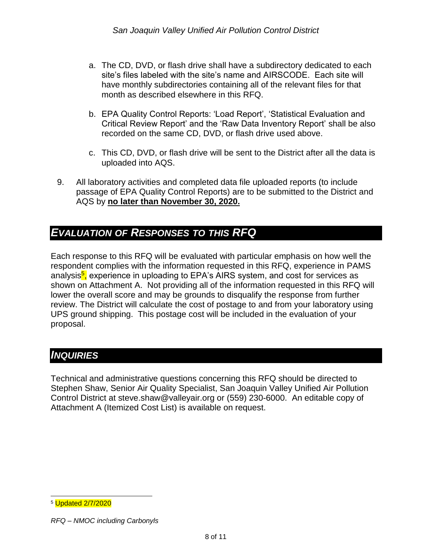- a. The CD, DVD, or flash drive shall have a subdirectory dedicated to each site's files labeled with the site's name and AIRSCODE. Each site will have monthly subdirectories containing all of the relevant files for that month as described elsewhere in this RFQ.
- b. EPA Quality Control Reports: 'Load Report', 'Statistical Evaluation and Critical Review Report' and the 'Raw Data Inventory Report' shall be also recorded on the same CD, DVD, or flash drive used above.
- c. This CD, DVD, or flash drive will be sent to the District after all the data is uploaded into AQS.
- 9. All laboratory activities and completed data file uploaded reports (to include passage of EPA Quality Control Reports) are to be submitted to the District and AQS by **no later than November 30, 2020.**

# *EVALUATION OF RESPONSES TO THIS RFQ*

Each response to this RFQ will be evaluated with particular emphasis on how well the respondent complies with the information requested in this RFQ, experience in PAMS analysis<mark><sup>5</sup>,</mark> experience in uploading to EPA's AIRS system, and cost for services as shown on Attachment A. Not providing all of the information requested in this RFQ will lower the overall score and may be grounds to disqualify the response from further review. The District will calculate the cost of postage to and from your laboratory using UPS ground shipping. This postage cost will be included in the evaluation of your proposal.

#### *INQUIRIES*

Technical and administrative questions concerning this RFQ should be directed to Stephen Shaw, Senior Air Quality Specialist, San Joaquin Valley Unified Air Pollution Control District at steve.shaw@valleyair.org or (559) 230-6000. An editable copy of Attachment A (Itemized Cost List) is available on request.

l <sup>5</sup> Updated 2/7/2020

*RFQ – NMOC including Carbonyls*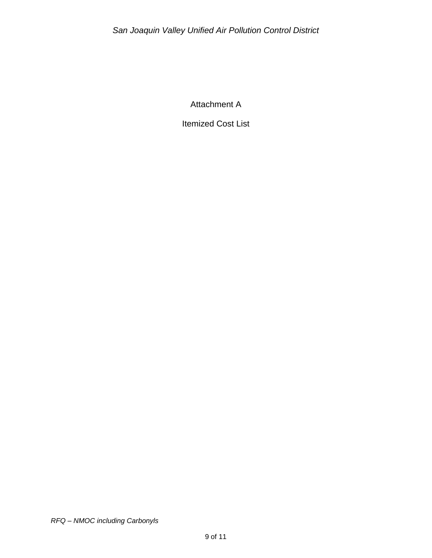Attachment A

Itemized Cost List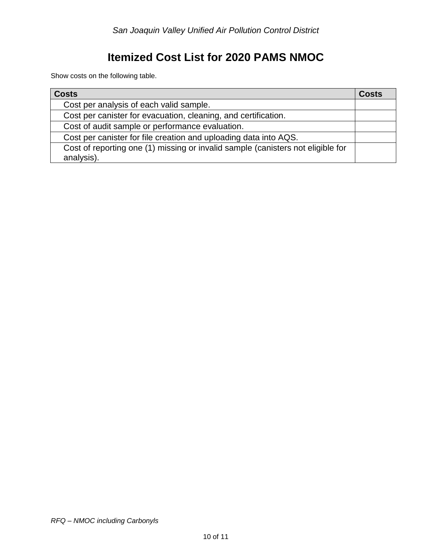# **Itemized Cost List for 2020 PAMS NMOC**

Show costs on the following table.

| <b>Costs</b>                                                                                  | <b>Costs</b> |
|-----------------------------------------------------------------------------------------------|--------------|
| Cost per analysis of each valid sample.                                                       |              |
| Cost per canister for evacuation, cleaning, and certification.                                |              |
| Cost of audit sample or performance evaluation.                                               |              |
| Cost per canister for file creation and uploading data into AQS.                              |              |
| Cost of reporting one (1) missing or invalid sample (canisters not eligible for<br>analysis). |              |